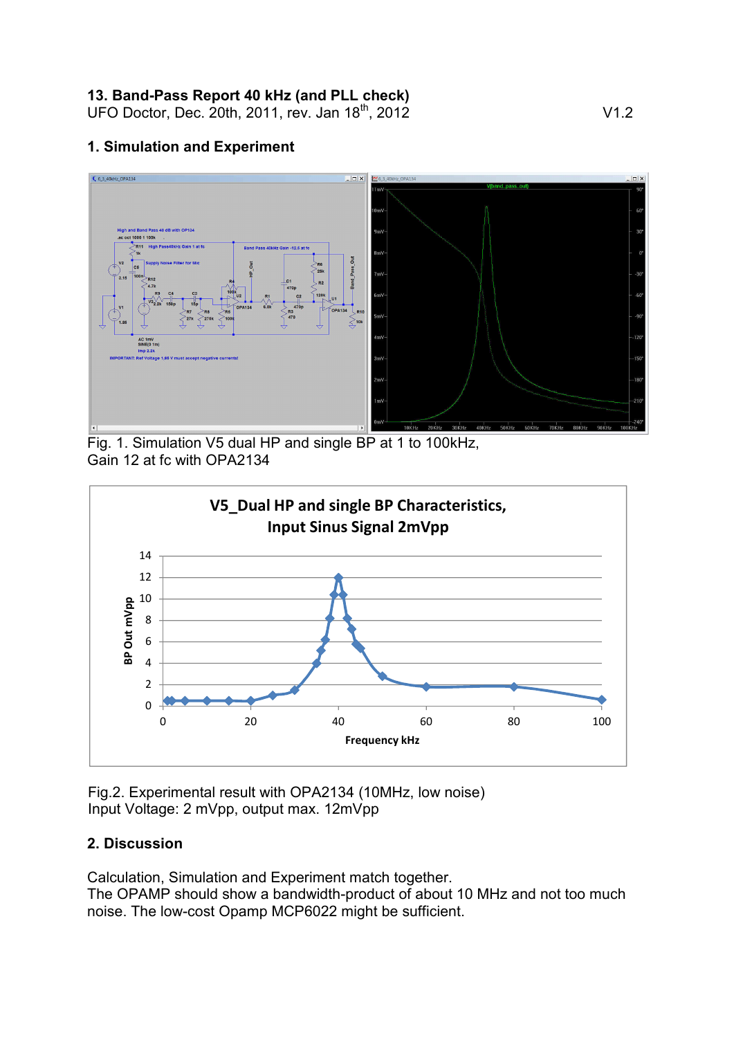### **13. Band-Pass Report 40 kHz (and PLL check)**

UFO Doctor, Dec. 20th, 2011, rev. Jan 18<sup>th</sup>, 2012 V1.2

#### **1. Simulation and Experiment**



Fig. 1. Simulation V5 dual HP and single BP at 1 to 100kHz, Gain 12 at fc with OPA2134



Fig.2. Experimental result with OPA2134 (10MHz, low noise) Input Voltage: 2 mVpp, output max. 12mVpp

### **2. Discussion**

Calculation, Simulation and Experiment match together.

The OPAMP should show a bandwidth-product of about 10 MHz and not too much noise. The low-cost Opamp MCP6022 might be sufficient.